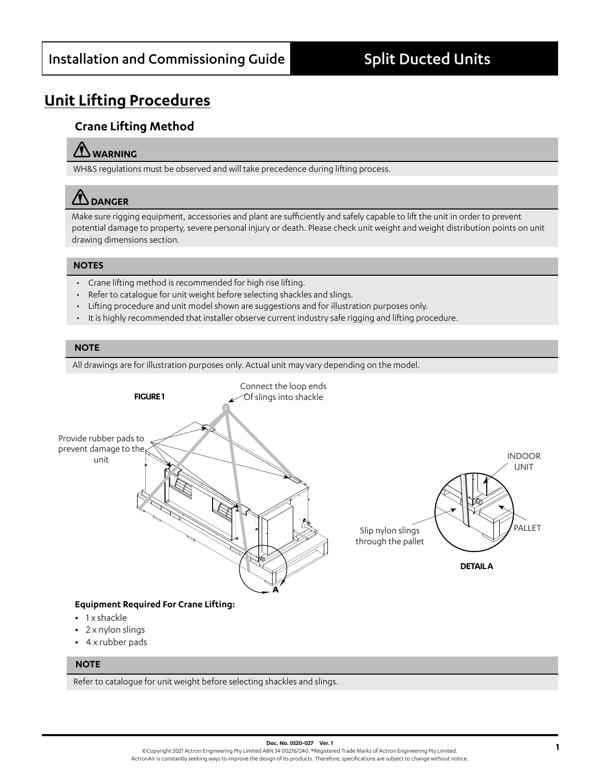# **Unit Lifting Procedures**

## **Crane Lifting Method**

## **WARNING**

WH&S regulations must be observed and will take precedence during lifting process.

# **DANGER**

Make sure rigging equipment, accessories and plant are sufficiently and safely capable to lift the unit in order to prevent potential damage to property, severe personal injury or death. Please check unit weight and weight distribution points on unit drawing dimensions section.

### **NOTES**

- Crane lifting method is recommended for high rise lifting.
- Refer to catalogue for unit weight before selecting shackles and slings.
- Lifting procedure and unit model shown are suggestions and for illustration purposes only.
- It is highly recommended that installer observe current industry safe rigging and lifting procedure.

#### **NOTE**

All drawings are for illustration purposes only. Actual unit may vary depending on the model.



- **•** 1 x shackle
- **•** 2 x nylon slings
- **•** 4 x rubber pads

#### **NOTE**

Refer to catalogue for unit weight before selecting shackles and slings.